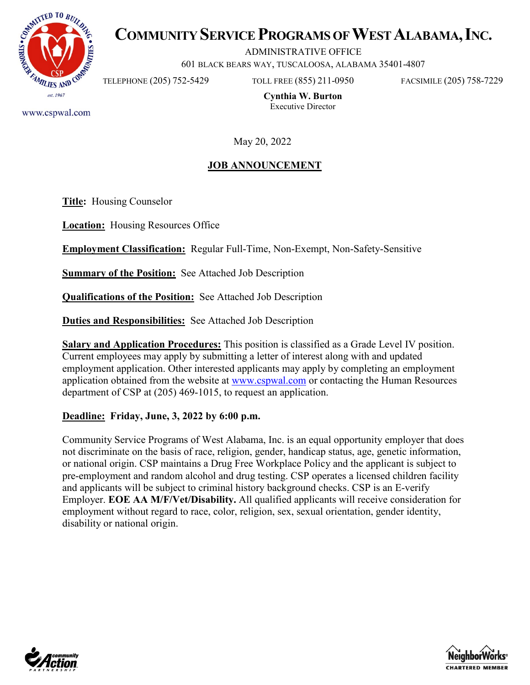

# **COMMUNITY SERVICE PROGRAMS OF WEST ALABAMA, INC.**

ADMINISTRATIVE OFFICE

601 BLACK BEARS WAY, TUSCALOOSA, ALABAMA 35401-4807

TELEPHONE (205) 752-5429 TOLL FREE (855) 211-0950 FACSIMILE (205) 758-7229

**Cynthia W. Burton** Executive Director

May 20, 2022

## **JOB ANNOUNCEMENT**

**Title:** Housing Counselor

**Location:** Housing Resources Office

**Employment Classification:** Regular Full-Time, Non-Exempt, Non-Safety-Sensitive

**Summary of the Position:** See Attached Job Description

**Qualifications of the Position:** See Attached Job Description

**Duties and Responsibilities:** See Attached Job Description

**Salary and Application Procedures:** This position is classified as a Grade Level IV position. Current employees may apply by submitting a letter of interest along with and updated employment application. Other interested applicants may apply by completing an employment application obtained from the website at [www.cspwal.com](http://www.cspwal.com/) or contacting the Human Resources department of CSP at (205) 469-1015, to request an application.

### **Deadline: Friday, June, 3, 2022 by 6:00 p.m.**

Community Service Programs of West Alabama, Inc. is an equal opportunity employer that does not discriminate on the basis of race, religion, gender, handicap status, age, genetic information, or national origin. CSP maintains a Drug Free Workplace Policy and the applicant is subject to pre-employment and random alcohol and drug testing. CSP operates a licensed children facility and applicants will be subject to criminal history background checks. CSP is an E-verify Employer. **EOE AA M/F/Vet/Disability.** All qualified applicants will receive consideration for employment without regard to race, color, religion, sex, sexual orientation, gender identity, disability or national origin.





www.cspwal.com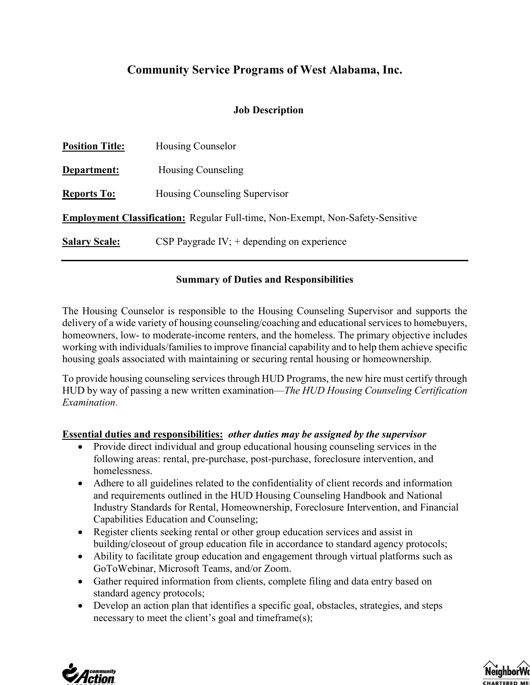## **Community Service Programs of West Alabama, Inc.**

### **Job Description**

| <b>Position Title:</b>                                                                | Housing Counselor                            |
|---------------------------------------------------------------------------------------|----------------------------------------------|
| Department:                                                                           | Housing Counseling                           |
| <b>Reports To:</b>                                                                    | Housing Counseling Supervisor                |
| <b>Employment Classification:</b> Regular Full-time, Non-Exempt, Non-Safety-Sensitive |                                              |
| <b>Salary Scale:</b>                                                                  | CSP Paygrade IV; $+$ depending on experience |

## **Summary of Duties and Responsibilities**

The Housing Counselor is responsible to the Housing Counseling Supervisor and supports the delivery of a wide variety of housing counseling/coaching and educational services to homebuyers, homeowners, low- to moderate-income renters, and the homeless. The primary objective includes working with individuals/families to improve financial capability and to help them achieve specific housing goals associated with maintaining or securing rental housing or homeownership.

To provide housing counseling services through HUD Programs, the new hire must certify through HUD by way of passing a new written examination—*The HUD Housing Counseling Certification Examination*.

### **Essential duties and responsibilities:** *other duties may be assigned by the supervisor*

- Provide direct individual and group educational housing counseling services in the following areas: rental, pre-purchase, post-purchase, foreclosure intervention, and homelessness.
- Adhere to all guidelines related to the confidentiality of client records and information and requirements outlined in the HUD Housing Counseling Handbook and National Industry Standards for Rental, Homeownership, Foreclosure Intervention, and Financial Capabilities Education and Counseling;
- Register clients seeking rental or other group education services and assist in building/closeout of group education file in accordance to standard agency protocols;
- Ability to facilitate group education and engagement through virtual platforms such as GoToWebinar, Microsoft Teams, and/or Zoom.
- Gather required information from clients, complete filing and data entry based on standard agency protocols;
- Develop an action plan that identifies a specific goal, obstacles, strategies, and steps necessary to meet the client's goal and timeframe(s);



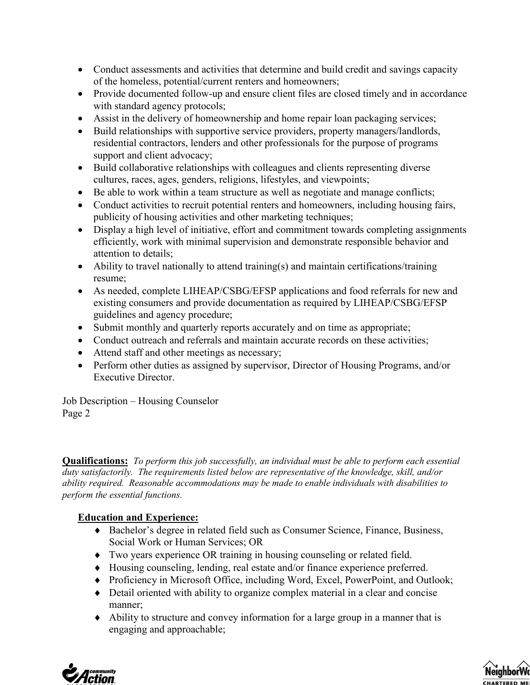- Conduct assessments and activities that determine and build credit and savings capacity of the homeless, potential/current renters and homeowners;
- Provide documented follow-up and ensure client files are closed timely and in accordance with standard agency protocols;
- Assist in the delivery of homeownership and home repair loan packaging services;
- Build relationships with supportive service providers, property managers/landlords, residential contractors, lenders and other professionals for the purpose of programs support and client advocacy;
- Build collaborative relationships with colleagues and clients representing diverse cultures, races, ages, genders, religions, lifestyles, and viewpoints;
- Be able to work within a team structure as well as negotiate and manage conflicts;
- Conduct activities to recruit potential renters and homeowners, including housing fairs, publicity of housing activities and other marketing techniques;
- Display a high level of initiative, effort and commitment towards completing assignments efficiently, work with minimal supervision and demonstrate responsible behavior and attention to details;
- Ability to travel nationally to attend training(s) and maintain certifications/training resume;
- As needed, complete LIHEAP/CSBG/EFSP applications and food referrals for new and existing consumers and provide documentation as required by LIHEAP/CSBG/EFSP guidelines and agency procedure;
- Submit monthly and quarterly reports accurately and on time as appropriate;
- Conduct outreach and referrals and maintain accurate records on these activities;
- Attend staff and other meetings as necessary;
- Perform other duties as assigned by supervisor, Director of Housing Programs, and/or Executive Director.

Job Description – Housing Counselor Page 2

**Qualifications:** *To perform this job successfully, an individual must be able to perform each essential duty satisfactorily. The requirements listed below are representative of the knowledge, skill, and/or ability required. Reasonable accommodations may be made to enable individuals with disabilities to perform the essential functions.* 

## **Education and Experience:**

- ♦ Bachelor's degree in related field such as Consumer Science, Finance, Business, Social Work or Human Services; OR
- ♦ Two years experience OR training in housing counseling or related field.
- ♦ Housing counseling, lending, real estate and/or finance experience preferred.
- ♦ Proficiency in Microsoft Office, including Word, Excel, PowerPoint, and Outlook;
- ♦ Detail oriented with ability to organize complex material in a clear and concise manner;
- ♦ Ability to structure and convey information for a large group in a manner that is engaging and approachable;



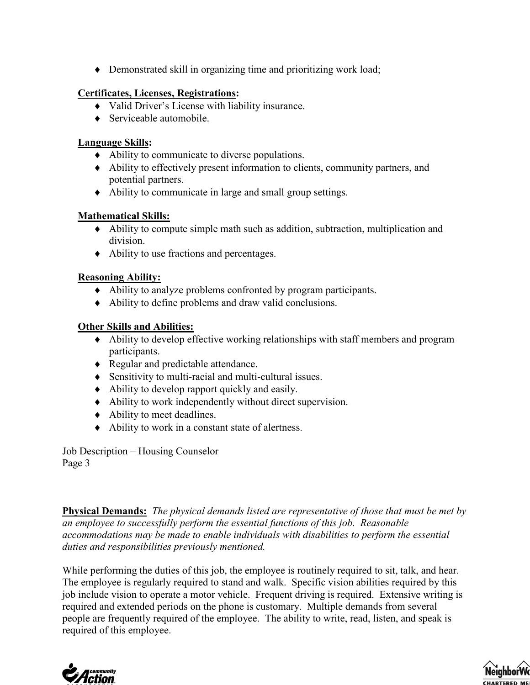♦ Demonstrated skill in organizing time and prioritizing work load;

## **Certificates, Licenses, Registrations:**

- ♦ Valid Driver's License with liability insurance.
- ♦ Serviceable automobile.

## **Language Skills:**

- ♦ Ability to communicate to diverse populations.
- ♦ Ability to effectively present information to clients, community partners, and potential partners.
- ♦ Ability to communicate in large and small group settings.

## **Mathematical Skills:**

- ♦ Ability to compute simple math such as addition, subtraction, multiplication and division.
- ♦ Ability to use fractions and percentages.

## **Reasoning Ability:**

- ♦ Ability to analyze problems confronted by program participants.
- ♦ Ability to define problems and draw valid conclusions.

## **Other Skills and Abilities:**

- ♦ Ability to develop effective working relationships with staff members and program participants.
- ♦ Regular and predictable attendance.
- ♦ Sensitivity to multi-racial and multi-cultural issues.
- ♦ Ability to develop rapport quickly and easily.
- ♦ Ability to work independently without direct supervision.
- ♦ Ability to meet deadlines.
- ♦ Ability to work in a constant state of alertness.

Job Description – Housing Counselor Page 3

**Physical Demands:** *The physical demands listed are representative of those that must be met by an employee to successfully perform the essential functions of this job. Reasonable accommodations may be made to enable individuals with disabilities to perform the essential duties and responsibilities previously mentioned.* 

While performing the duties of this job, the employee is routinely required to sit, talk, and hear. The employee is regularly required to stand and walk. Specific vision abilities required by this job include vision to operate a motor vehicle. Frequent driving is required. Extensive writing is required and extended periods on the phone is customary. Multiple demands from several people are frequently required of the employee. The ability to write, read, listen, and speak is required of this employee.